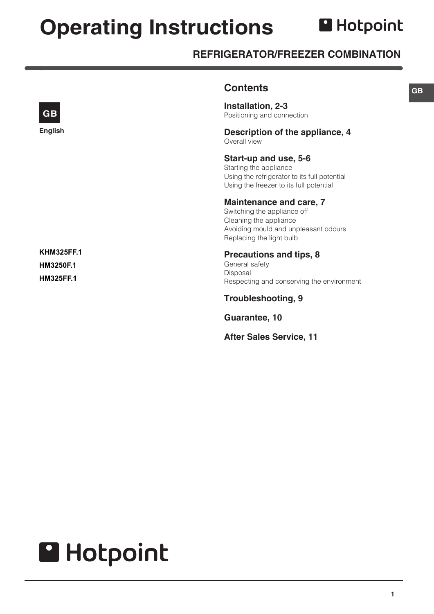# **Operating Instructions**

# **A** Hotpoint

# **REFRIGERATOR/FREEZER COMBINATION**

|                                                    | <b>Contents</b>                                                                                                                                             |
|----------------------------------------------------|-------------------------------------------------------------------------------------------------------------------------------------------------------------|
| <b>GB</b>                                          | Installation, 2-3<br>Positioning and connection                                                                                                             |
| English                                            | Description of the appliance, 4<br>Overall view                                                                                                             |
|                                                    | Start-up and use, 5-6<br>Starting the appliance<br>Using the refrigerator to its full potential<br>Using the freezer to its full potential                  |
|                                                    | <b>Maintenance and care, 7</b><br>Switching the appliance off<br>Cleaning the appliance<br>Avoiding mould and unpleasant odours<br>Replacing the light bulb |
| <b>KHM325FF.1</b><br>HM3250F.1<br><b>HM325FF.1</b> | <b>Precautions and tips, 8</b><br>General safety<br>Disposal<br>Respecting and conserving the environment                                                   |
|                                                    | <b>Troubleshooting, 9</b>                                                                                                                                   |
|                                                    | Guarantee, 10                                                                                                                                               |
|                                                    | <b>After Sales Service, 11</b>                                                                                                                              |

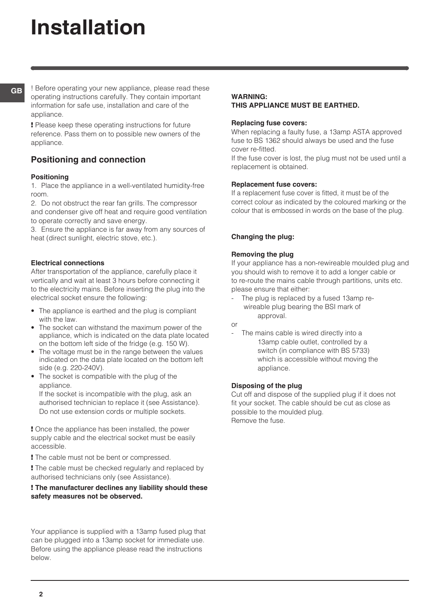# **Installation**

**GB**

! Before operating your new appliance, please read these operating instructions carefully. They contain important information for safe use, installation and care of the appliance.

! Please keep these operating instructions for future reference. Pass them on to possible new owners of the appliance.

## **Positioning and connection**

#### **Positioning**

1. Place the appliance in a well-ventilated humidity-free room.

2. Do not obstruct the rear fan grills. The compressor and condenser give off heat and require good ventilation to operate correctly and save energy.

3. Ensure the appliance is far away from any sources of heat (direct sunlight, electric stove, etc.).

#### **Electrical connections**

After transportation of the appliance, carefully place it vertically and wait at least 3 hours before connecting it to the electricity mains. Before inserting the plug into the electrical socket ensure the following:

- The appliance is earthed and the plug is compliant with the law.
- The socket can withstand the maximum power of the appliance, which is indicated on the data plate located on the bottom left side of the fridge (e.g. 150 W).
- The voltage must be in the range between the values indicated on the data plate located on the bottom left side (e.g. 220-240V).
- The socket is compatible with the plug of the appliance.

If the socket is incompatible with the plug, ask an authorised technician to replace it (see Assistance). Do not use extension cords or multiple sockets.

! Once the appliance has been installed, the power supply cable and the electrical socket must be easily accessible.

! The cable must not be bent or compressed.

! The cable must be checked regularly and replaced by authorised technicians only (see Assistance).

#### ! **The manufacturer declines any liability should these safety measures not be observed.**

Your appliance is supplied with a 13amp fused plug that can be plugged into a 13amp socket for immediate use. Before using the appliance please read the instructions below.

#### **WARNING:**

#### **THIS APPLIANCE MUST BE EARTHED.**

#### **Replacing fuse covers:**

When replacing a faulty fuse, a 13amp ASTA approved fuse to BS 1362 should always be used and the fuse cover re-fitted.

If the fuse cover is lost, the plug must not be used until a replacement is obtained.

#### **Replacement fuse covers:**

If a replacement fuse cover is fitted, it must be of the correct colour as indicated by the coloured marking or the colour that is embossed in words on the base of the plug.

#### **Changing the plug:**

#### **Removing the plug**

If your appliance has a non-rewireable moulded plug and you should wish to remove it to add a longer cable or to re-route the mains cable through partitions, units etc. please ensure that either:

The plug is replaced by a fused 13amp rewireable plug bearing the BSI mark of approval.

or

The mains cable is wired directly into a 13amp cable outlet, controlled by a switch (in compliance with BS 5733) which is accessible without moving the appliance.

#### **Disposing of the plug**

Cut off and dispose of the supplied plug if it does not fit your socket. The cable should be cut as close as possible to the moulded plug. Remove the fuse.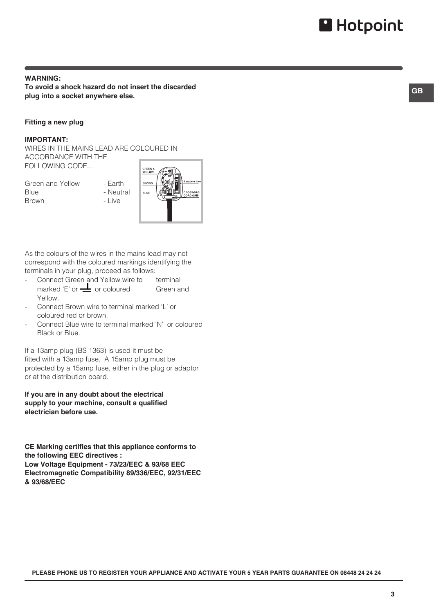#### **WARNING: To avoid a shock hazard do not insert the discarded plug into a socket anywhere else.**

#### **Fitting a new plug**

#### **IMPORTANT:**

WIRES IN THE MAINS LEAD ARE COLOURED IN ACCORDANCE WITH THE FOLLOWING CODE...

- Green and Yellow Earth Blue - Neutral Brown - Live
	-



As the colours of the wires in the mains lead may not correspond with the coloured markings identifying the terminals in your plug, proceed as follows:

- Connect Green and Yellow wire to terminal marked 'E' or  $\frac{1}{\sqrt{2}}$  or coloured Green and Yellow.
- Connect Brown wire to terminal marked 'L' or coloured red or brown.
- Connect Blue wire to terminal marked 'N' or coloured Black or Blue.

If a 13amp plug (BS 1363) is used it must be fitted with a 13amp fuse. A 15amp plug must be protected by a 15amp fuse, either in the plug or adaptor or at the distribution board.

**If you are in any doubt about the electrical supply to your machine, consult a qualified electrician before use.**

**CE Marking certifies that this appliance conforms to the following EEC directives : Low Voltage Equipment - 73/23/EEC & 93/68 EEC Electromagnetic Compatibility 89/336/EEC, 92/31/EEC & 93/68/EEC**

**PLEASE PHONE US TO REGISTER YOUR APPLIANCE AND ACTIVATE YOUR 5 YEAR PARTS GUARANTEE ON 08448 24 24 24**

**3**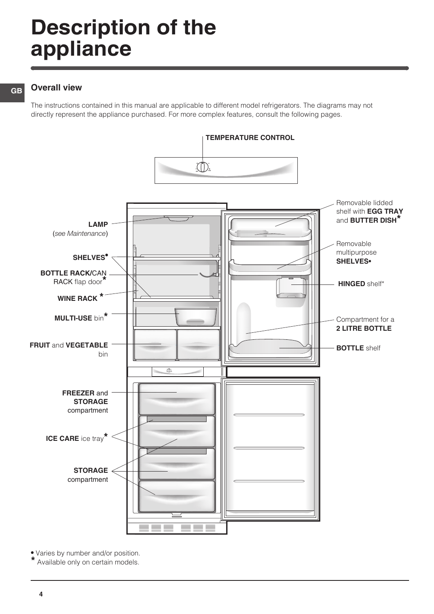# **Description of the appliance**

#### **GB**

#### **Overall view**

The instructions contained in this manual are applicable to different model refrigerators. The diagrams may not directly represent the appliance purchased. For more complex features, consult the following pages.



**•** Varies by number and/or position. Available only on certain models.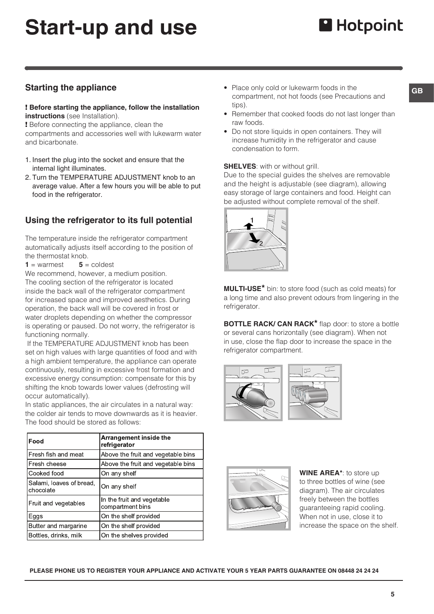# **Start-up and use**

## **Starting the appliance**

#### ! **Before starting the appliance, follow the installation instructions** (see Installation).

! Before connecting the appliance, clean the compartments and accessories well with lukewarm water and bicarbonate.

- 1. Insert the plug into the socket and ensure that the internal light illuminates.
- 2. Turn the TEMPERATURE ADJUSTMENT knob to an average value. After a few hours you will be able to put food in the refrigerator.

## **Using the refrigerator to its full potential**

The temperature inside the refrigerator compartment automatically adjusts itself according to the position of the thermostat knob.

**1** = warmest **5** = coldest

We recommend, however, a medium position. The cooling section of the refrigerator is located inside the back wall of the refrigerator compartment for increased space and improved aesthetics. During operation, the back wall will be covered in frost or water droplets depending on whether the compressor is operating or paused. Do not worry, the refrigerator is functioning normally.

 If the TEMPERATURE ADJUSTMENT knob has been set on high values with large quantities of food and with a high ambient temperature, the appliance can operate continuously, resulting in excessive frost formation and excessive energy consumption: compensate for this by shifting the knob towards lower values (defrosting will occur automatically).

In static appliances, the air circulates in a natural way: the colder air tends to move downwards as it is heavier. The food should be stored as follows:

| Food                                  | Arrangement inside the<br>refrigerator         |
|---------------------------------------|------------------------------------------------|
| Fresh fish and meat                   | Above the fruit and vegetable bins             |
| Fresh cheese                          | Above the fruit and vegetable bins             |
| Cooked food                           | On any shelf                                   |
| Salami, loaves of bread,<br>chocolate | On any shelf                                   |
| Fruit and vegetables                  | In the fruit and vegetable<br>compartment bins |
| Eggs                                  | On the shelf provided                          |
| Butter and margarine                  | On the shelf provided                          |
| Bottles, drinks, milk                 | On the shelves provided                        |

- Place only cold or lukewarm foods in the compartment, not hot foods (see Precautions and tips).
- Remember that cooked foods do not last longer than raw foods.
- Do not store liquids in open containers. They will increase humidity in the refrigerator and cause condensation to form.

#### **SHELVES**: with or without grill.

Due to the special guides the shelves are removable and the height is adjustable (see diagram), allowing easy storage of large containers and food. Height can be adjusted without complete removal of the shelf.



**MULTI-USE\*** bin: to store food (such as cold meats) for a long time and also prevent odours from lingering in the refrigerator.

**BOTTLE RACK/ CAN RACK\*** flap door: to store a bottle or several cans horizontally (see diagram). When not in use, close the flap door to increase the space in the refrigerator compartment.





**WINE AREA\***: to store up to three bottles of wine (see diagram). The air circulates freely between the bottles guaranteeing rapid cooling. When not in use, close it to increase the space on the shelf.

**PLEASE PHONE US TO REGISTER YOUR APPLIANCE AND ACTIVATE YOUR 5 YEAR PARTS GUARANTEE ON 08448 24 24 24**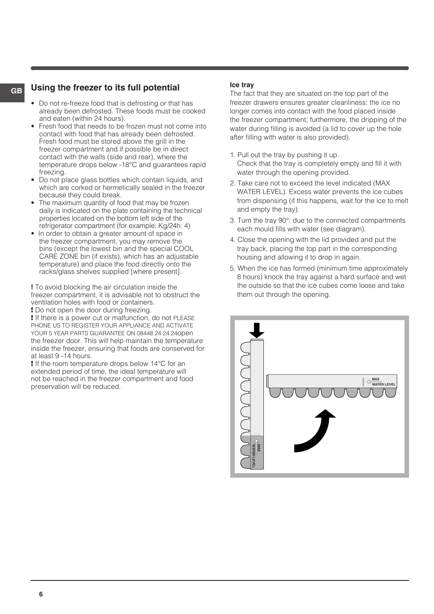## **GB Using the freezer to its full potential**

- Do not re-freeze food that is defrosting or that has already been defrosted. These foods must be cooked and eaten (within 24 hours).
- Fresh food that needs to be frozen must not come into contact with food that has already been defrosted. Fresh food must be stored above the grill in the freezer compartment and if possible be in direct contact with the walls (side and rear), where the temperature drops below -18°C and guarantees rapid freezing.
- Do not place glass bottles which contain liquids, and which are corked or hermetically sealed in the freezer because they could break.
- The maximum quantity of food that may be frozen daily is indicated on the plate containing the technical properties located on the bottom left side of the refrigerator compartment (for example: Kg/24h: 4)
- In order to obtain a greater amount of space in the freezer compartment, you may remove the bins (except the lowest bin and the special COOL CARE ZONE bin (if exists), which has an adjustable temperature) and place the food directly onto the racks/glass shelves supplied [where present].

**!** To avoid blocking the air circulation inside the freezer compartment, it is advisable not to obstruct the ventilation holes with food or containers.

! Do not open the door during freezing.

! If there is a power cut or malfunction, do not PLEASE PHONE US TO REGISTER YOUR APPLIANCE AND ACTIVATE YOUR 5 YEAR PARTS GUARANTEE ON 08448 24 24 24open the freezer door. This will help maintain the temperature inside the freezer, ensuring that foods are conserved for at least 9 -14 hours.

! If the room temperature drops below 14°C for an extended period of time, the ideal temperature will not be reached in the freezer compartment and food preservation will be reduced.

#### **Ice tray**

The fact that they are situated on the top part of the freezer drawers ensures greater cleanliness: the ice no longer comes into contact with the food placed inside the freezer compartment; furthermore, the dripping of the water during filling is avoided (a lid to cover up the hole after filling with water is also provided).

- 1. Pull out the tray by pushing it up. Check that the tray is completely empty and fill it with water through the opening provided.
- 2. Take care not to exceed the level indicated (MAX WATER LEVEL). Excess water prevents the ice cubes from dispensing (if this happens, wait for the ice to melt and empty the tray).
- 3. Turn the tray 90°: due to the connected compartments each mould fills with water (see diagram).
- 4. Close the opening with the lid provided and put the tray back, placing the top part in the corresponding housing and allowing it to drop in again.
- 5. When the ice has formed (minimum time approximately 8 hours) knock the tray against a hard surface and wet the outside so that the ice cubes come loose and take them out through the opening.

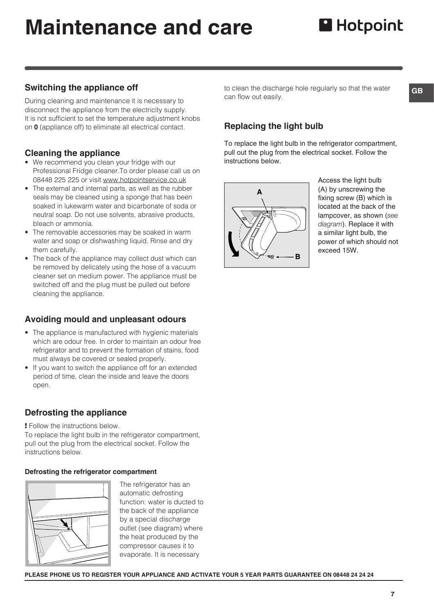# **Maintenance and care**

# **H**otpoint

### **Switching the appliance off**

During cleaning and maintenance it is necessary to disconnect the appliance from the electricity supply. It is not sufficient to set the temperature adjustment knobs on **0** (appliance off) to eliminate all electrical contact.

#### **Cleaning the appliance**

- We recommend you clean your fridge with our Professional Fridge cleaner.To order please call us on 08448 225 225 or visit www.hotpointservice.co.uk
- The external and internal parts, as well as the rubber seals may be cleaned using a sponge that has been soaked in lukewarm water and bicarbonate of soda or neutral soap. Do not use solvents, abrasive products, bleach or ammonia.
- The removable accessories may be soaked in warm water and soap or dishwashing liquid. Rinse and dry them carefully.
- The back of the appliance may collect dust which can be removed by delicately using the hose of a vacuum cleaner set on medium power. The appliance must be switched off and the plug must be pulled out before cleaning the appliance.

### **Avoiding mould and unpleasant odours**

- The appliance is manufactured with hygienic materials which are odour free. In order to maintain an odour free refrigerator and to prevent the formation of stains, food must always be covered or sealed properly.
- If you want to switch the appliance off for an extended period of time, clean the inside and leave the doors open.

### **Defrosting the appliance**

! Follow the instructions below.

To replace the light bulb in the refrigerator compartment, pull out the plug from the electrical socket. Follow the instructions below.

#### **Defrosting the refrigerator compartment**



The refrigerator has an automatic defrosting function: water is ducted to the back of the appliance by a special discharge outlet (see diagram) where the heat produced by the compressor causes it to evaporate. It is necessary

to clean the discharge hole regularly so that the water can flow out easily.

### **Replacing the light bulb**

To replace the light bulb in the refrigerator compartment, pull out the plug from the electrical socket. Follow the instructions below.



Access the light bulb (A) by unscrewing the fixing screw (B) which is located at the back of the lampcover, as shown (*see diagram*). Replace it with a similar light bulb, the power of which should not exceed 15W.

**PLEASE PHONE US TO REGISTER YOUR APPLIANCE AND ACTIVATE YOUR 5 YEAR PARTS GUARANTEE ON 08448 24 24 24**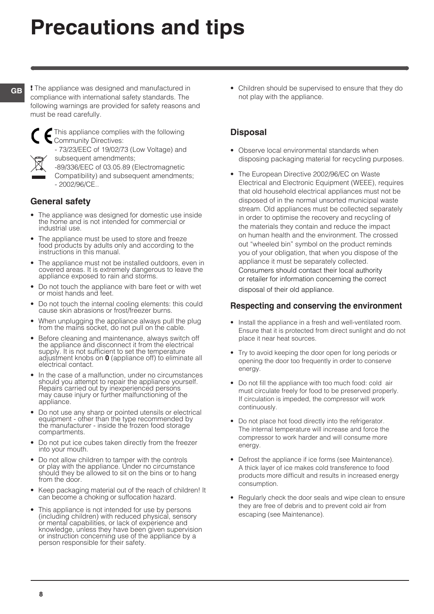# **Precautions and tips**

**GB**

! The appliance was designed and manufactured in compliance with international safety standards. The following warnings are provided for safety reasons and must be read carefully.



This appliance complies with the following **Community Directives:** 

- 73/23/EEC of 19/02/73 (Low Voltage) and subsequent amendments;



Compatibility) and subsequent amendments; - 2002/96/CE..

## **General safety**

- The appliance was designed for domestic use inside the home and is not intended for commercial or industrial use.
- The appliance must be used to store and freeze food products by adults only and according to the instructions in this manual.
- The appliance must not be installed outdoors, even in covered areas. It is extremely dangerous to leave the appliance exposed to rain and storms.
- Do not touch the appliance with bare feet or with wet or moist hands and feet.
- Do not touch the internal cooling elements: this could cause skin abrasions or frost/freezer burns.
- When unplugging the appliance always pull the plug from the mains socket, do not pull on the cable.
- Before cleaning and maintenance, always switch off the appliance and disconnect it from the electrical supply. It is not sufficient to set the temperature adjustment knobs on **0** (appliance off) to eliminate all electrical contact.
- In the case of a malfunction, under no circumstances should you attempt to repair the appliance yourself. Repairs carried out by inexperienced persons may cause injury or further malfunctioning of the appliance.
- Do not use any sharp or pointed utensils or electrical equipment - other than the type recommended by the manufacturer - inside the frozen food storage compartments.
- Do not put ice cubes taken directly from the freezer into your mouth.
- Do not allow children to tamper with the controls or play with the appliance. Under no circumstance should they be allowed to sit on the bins or to hang from the door.
- Keep packaging material out of the reach of children! It can become a choking or suffocation hazard.
- This appliance is not intended for use by persons (including children) with reduced physical, sensory or mental capabilities, or lack of experience and knowledge, unless they have been given supervision or instruction concerning use of the appliance by a person responsible for their safety.

• Children should be supervised to ensure that they do not play with the appliance.

## **Disposal**

- Observe local environmental standards when disposing packaging material for recycling purposes.
- The European Directive 2002/96/EC on Waste Electrical and Electronic Equipment (WEEE), requires that old household electrical appliances must not be disposed of in the normal unsorted municipal waste stream. Old appliances must be collected separately in order to optimise the recovery and recycling of the materials they contain and reduce the impact on human health and the environment. The crossed out "wheeled bin" symbol on the product reminds you of your obligation, that when you dispose of the appliance it must be separately collected. Consumers should contact their local authority or retailer for information concerning the correct disposal of their old appliance.

### **Respecting and conserving the environment**

- Install the appliance in a fresh and well-ventilated room. Ensure that it is protected from direct sunlight and do not place it near heat sources.
- Try to avoid keeping the door open for long periods or opening the door too frequently in order to conserve energy.
- Do not fill the appliance with too much food: cold air must circulate freely for food to be preserved properly. If circulation is impeded, the compressor will work continuously.
- Do not place hot food directly into the refrigerator. The internal temperature will increase and force the compressor to work harder and will consume more energy.
- Defrost the appliance if ice forms (see Maintenance). A thick layer of ice makes cold transference to food products more difficult and results in increased energy consumption.
- Regularly check the door seals and wipe clean to ensure they are free of debris and to prevent cold air from escaping (see Maintenance).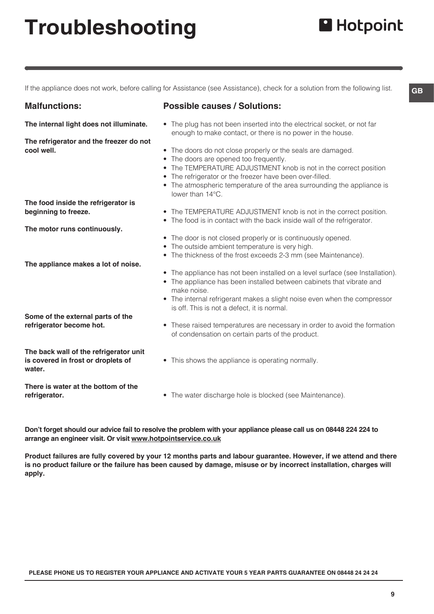# **Troubleshooting**

If the appliance does not work, before calling for Assistance (see Assistance), check for a solution from the following list.

#### **Malfunctions:**

**cool well.**

**Possible causes / Solutions:**

- The plug has not been inserted into the electrical socket, or not far enough to make contact, or there is no power in the house.
- The doors do not close properly or the seals are damaged.
- The doors are opened too frequently.
- The TEMPERATURE ADJUSTMENT knob is not in the correct position
- The refrigerator or the freezer have been over-filled.
- The atmospheric temperature of the area surrounding the appliance is lower than 14°C.
- The TEMPERATURE ADJUSTMENT knob is not in the correct position.
- The food is in contact with the back inside wall of the refrigerator.
- The door is not closed properly or is continuously opened.
- The outside ambient temperature is very high.
- The thickness of the frost exceeds 2-3 mm (see Maintenance).
- The appliance has not been installed on a level surface (see Installation).
- The appliance has been installed between cabinets that vibrate and make noise.
- The internal refrigerant makes a slight noise even when the compressor is off. This is not a defect, it is normal.
- These raised temperatures are necessary in order to avoid the formation of condensation on certain parts of the product.
- This shows the appliance is operating normally.
- The water discharge hole is blocked (see Maintenance).

**Don't forget should our advice fail to resolve the problem with your appliance please call us on 08448 224 224 to arrange an engineer visit. Or visit www.hotpointservice.co.uk**

**Product failures are fully covered by your 12 months parts and labour guarantee. However, if we attend and there is no product failure or the failure has been caused by damage, misuse or by incorrect installation, charges will apply.**

**PLEASE PHONE US TO REGISTER YOUR APPLIANCE AND ACTIVATE YOUR 5 YEAR PARTS GUARANTEE ON 08448 24 24 24**

**The food inside the refrigerator is beginning to freeze.**

**The internal light does not illuminate.**

**The refrigerator and the freezer do not** 

**The motor runs continuously.**

- **The appliance makes a lot of noise.**
- **Some of the external parts of the refrigerator become hot.**

**The back wall of the refrigerator unit is covered in frost or droplets of water.**

**There is water at the bottom of the refrigerator.**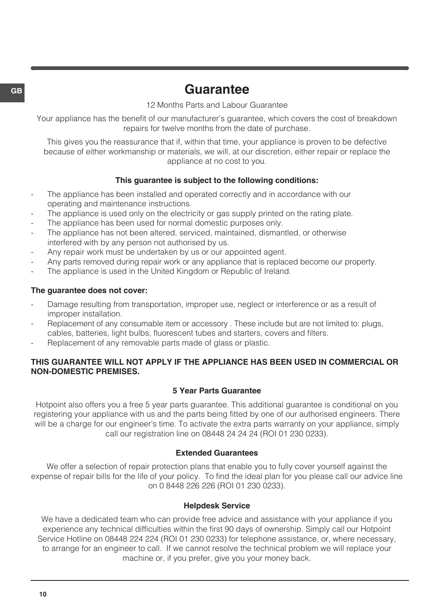# **GB Guarantee**

12 Months Parts and Labour Guarantee

Your appliance has the benefit of our manufacturer's guarantee, which covers the cost of breakdown repairs for twelve months from the date of purchase.

This gives you the reassurance that if, within that time, your appliance is proven to be defective because of either workmanship or materials, we will, at our discretion, either repair or replace the appliance at no cost to you.

#### **This guarantee is subject to the following conditions:**

- The appliance has been installed and operated correctly and in accordance with our operating and maintenance instructions.
- The appliance is used only on the electricity or gas supply printed on the rating plate.
- The appliance has been used for normal domestic purposes only.
- The appliance has not been altered, serviced, maintained, dismantled, or otherwise interfered with by any person not authorised by us.
- Any repair work must be undertaken by us or our appointed agent.
- Any parts removed during repair work or any appliance that is replaced become our property.
- The appliance is used in the United Kingdom or Republic of Ireland.

#### **The guarantee does not cover:**

- Damage resulting from transportation, improper use, neglect or interference or as a result of improper installation.
- Replacement of any consumable item or accessory . These include but are not limited to: plugs, cables, batteries, light bulbs, fluorescent tubes and starters, covers and filters.
- Replacement of any removable parts made of glass or plastic.

#### **THIS GUARANTEE WILL NOT APPLY IF THE APPLIANCE HAS BEEN USED IN COMMERCIAL OR NON-DOMESTIC PREMISES.**

#### **5 Year Parts Guarantee**

Hotpoint also offers you a free 5 year parts guarantee. This additional guarantee is conditional on you registering your appliance with us and the parts being fitted by one of our authorised engineers. There will be a charge for our engineer's time. To activate the extra parts warranty on your appliance, simply call our registration line on 08448 24 24 24 (ROI 01 230 0233).

#### **Extended Guarantees**

We offer a selection of repair protection plans that enable you to fully cover yourself against the expense of repair bills for the life of your policy. To find the ideal plan for you please call our advice line on 0 8448 226 226 (ROI 01 230 0233).

#### **Helpdesk Service**

We have a dedicated team who can provide free advice and assistance with your appliance if you experience any technical difficulties within the first 90 days of ownership. Simply call our Hotpoint Service Hotline on 08448 224 224 (ROI 01 230 0233) for telephone assistance, or, where necessary, to arrange for an engineer to call. If we cannot resolve the technical problem we will replace your machine or, if you prefer, give you your money back.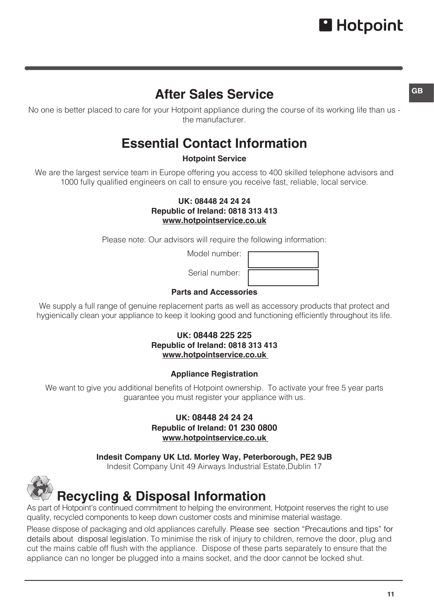# **After Sales Service**

No one is better placed to care for your Hotpoint appliance during the course of its working life than us the manufacturer.

# **Essential Contact Information**

### **Hotpoint Service**

We are the largest service team in Europe offering you access to 400 skilled telephone advisors and 1000 fully qualified engineers on call to ensure you receive fast, reliable, local service.

#### **UK: 08448 24 24 24 Republic of Ireland: 0818 313 413 www.hotpointservice.co.uk**

Please note: Our advisors will require the following information:

Model number:

Serial number:

### **Parts and Accessories**

We supply a full range of genuine replacement parts as well as accessory products that protect and hygienically clean your appliance to keep it looking good and functioning efficiently throughout its life.

#### **UK: 08448 225 225 Republic of Ireland: 0818 313 413 www.hotpointservice.co.uk**

#### **Appliance Registration**

We want to give you additional benefits of Hotpoint ownership. To activate your free 5 year parts guarantee you must register your appliance with us.

> **UK: 08448 24 24 24 Republic of Ireland: 01 230 0800 www.hotpointservice.co.uk**

**Indesit Company UK Ltd. Morley Way, Peterborough, PE2 9JB**

Indesit Company Unit 49 Airways Industrial Estate,Dublin 17



# **Recycling & Disposal Information**

As part of Hotpoint's continued commitment to helping the environment, Hotpoint reserves the right to use quality, recycled components to keep down customer costs and minimise material wastage.

Please dispose of packaging and old appliances carefully. Please see section "Precautions and tips" for details about disposal legislation. To minimise the risk of injury to children, remove the door, plug and cut the mains cable off flush with the appliance. Dispose of these parts separately to ensure that the appliance can no longer be plugged into a mains socket, and the door cannot be locked shut.